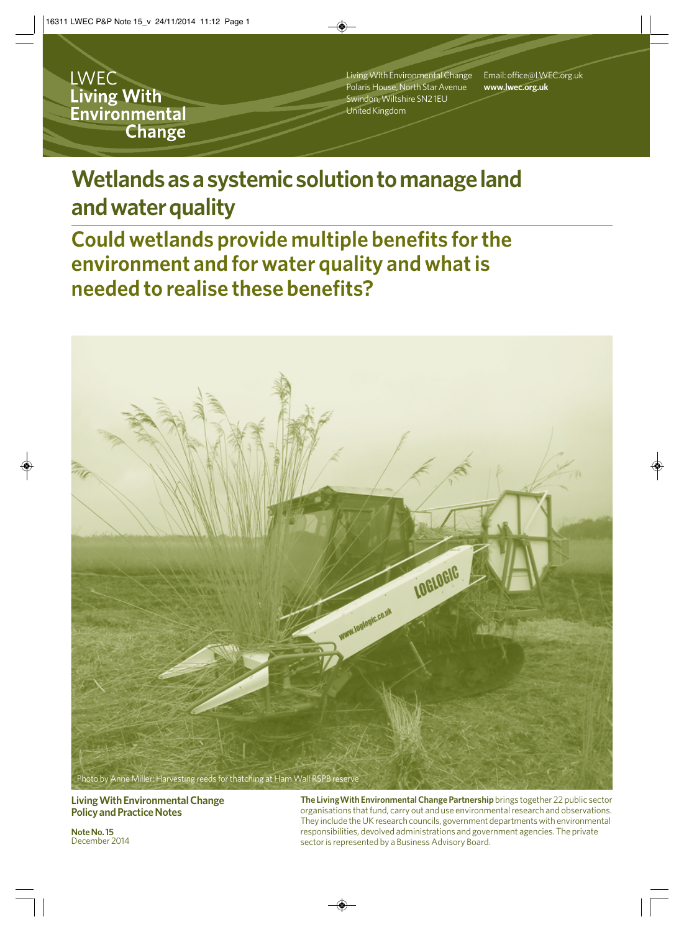**LWEC** Living With Environmental **Change** 

Living With Environmental Change Polaris House, North Star Avenue Swindon, Wiltshire SN2 1EU United Kingdom

Email: office@LWEC.org.uk **www.lwec.org.uk**

# **Wetlands as a systemic solution to manage land and water quality**

**Could wetlands provide multiple benefits for the environment and for water quality and what is needed to realise these benefits?**



**Living With Environmental Change Policy and Practice Notes**

**Note No. 15** December 2014 **The LivingWith Environmental Change Partnership** brings together 22 public sector organisations that fund, carry out and use environmental research and observations. They include the UK research councils, government departments with environmental responsibilities, devolved administrations and government agencies. The private sector is represented by a Business Advisory Board.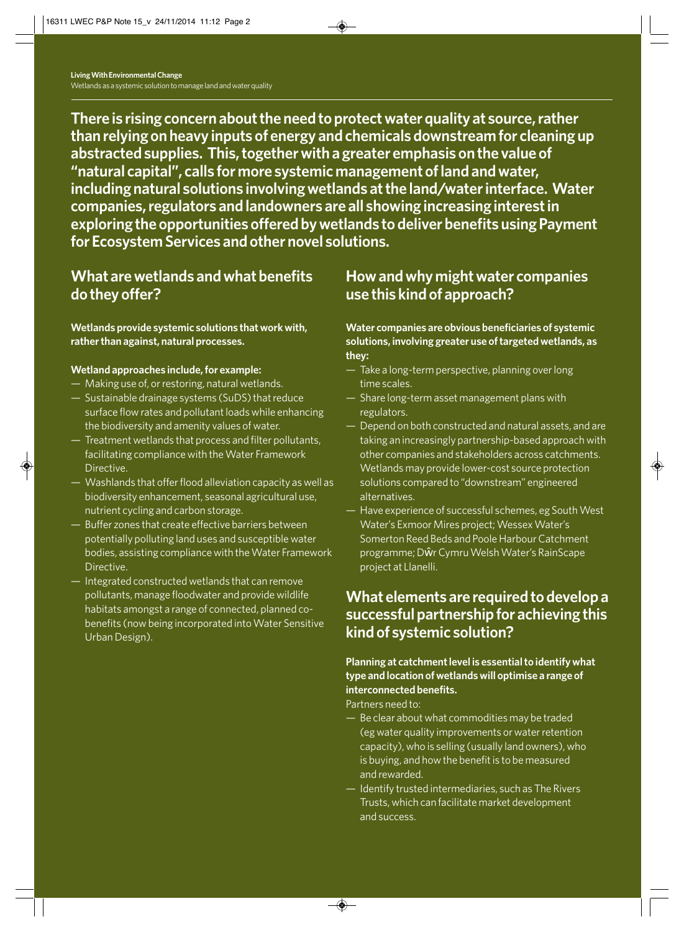**There is rising concern about the need to protect water quality at source, rather than relying on heavy inputs of energy and chemicals downstream for cleaning up abstracted supplies. This, together with a greater emphasis on the value of "natural capital", calls for more systemic management of land and water, including natural solutions involving wetlands at the land/water interface. Water companies, regulators and landowners are all showing increasing interest in exploring the opportunities offered by wetlands to deliver benefits using Payment for Ecosystem Services and other novel solutions.**

### **What are wetlands and what benefits do they offer?**

**Wetlands provide systemic solutions that work with, rather than against, natural processes.** 

#### **Wetland approaches include, for example:**

- Making use of, or restoring, natural wetlands.
- Sustainable drainage systems (SuDS) that reduce surface flow rates and pollutant loads while enhancing the biodiversity and amenity values of water.
- Treatment wetlands that process and filter pollutants, facilitating compliance with the Water Framework Directive.
- Washlands that offer flood alleviation capacity as well as biodiversity enhancement, seasonal agricultural use, nutrient cycling and carbon storage.
- Buffer zones that create effective barriers between potentially polluting land uses and susceptible water bodies, assisting compliance with the Water Framework Directive.
- Integrated constructed wetlands that can remove pollutants, manage floodwater and provide wildlife habitats amongst a range of connected, planned cobenefits (now being incorporated into Water Sensitive Urban Design).

## **How and why might water companies use this kind of approach?**

#### **Water companies are obvious beneficiaries of systemic solutions, involving greater use of targeted wetlands, as they:**

- Take a long-term perspective, planning over long time scales.
- Share long-term asset management plans with regulators.
- Depend on both constructed and natural assets, and are taking an increasingly partnership-based approach with other companies and stakeholders across catchments. Wetlands may provide lower-cost source protection solutions compared to "downstream" engineered alternatives.
- Have experience of successful schemes, eg South West Water's Exmoor Mires project; Wessex Water's Somerton Reed Beds and Poole Harbour Catchment programme; Dŵr Cymru Welsh Water's RainScape project at Llanelli.

### **What elements are required to develop a successful partnership for achieving this kind of systemic solution?**

#### **Planning at catchment level is essential to identify what type and location of wetlands will optimise a range of interconnected benefits.**

Partners need to:

- Be clear about what commodities may be traded (eg water quality improvements or water retention capacity), who is selling (usually land owners), who is buying, and how the benefit is to be measured and rewarded.
- Identify trusted intermediaries, such as The Rivers Trusts, which can facilitate market development and success.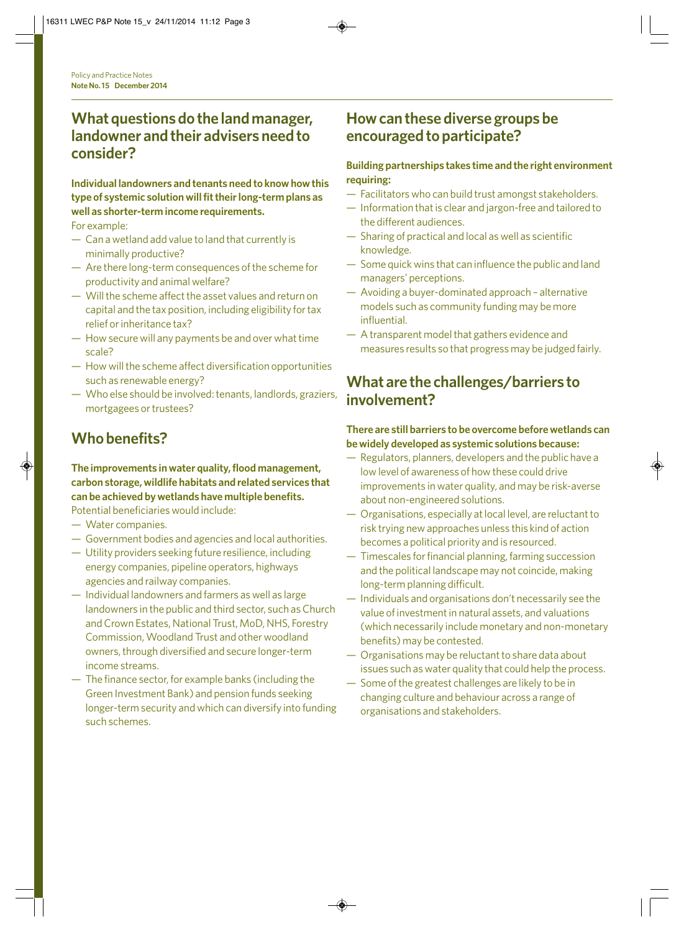### **What questions do the land manager, landowner and their advisers need to consider?**

### **Individual landowners and tenants need to know how this type of systemic solution will fit their long-term plans as well as shorter-term income requirements.**

For example:

- Can a wetland add value to land that currently is minimally productive?
- Are there long-term consequences of the scheme for productivity and animal welfare?
- Will the scheme affect the asset values and return on capital and the tax position, including eligibility for tax relief or inheritance tax?
- How secure will any payments be and over what time scale?
- How will the scheme affect diversification opportunities such as renewable energy?
- Who else should be involved: tenants, landlords, graziers, mortgagees or trustees?

# **Who benefits?**

#### **The improvements in water quality, flood management, carbon storage, wildlife habitats and related services that can be achieved by wetlands have multiple benefits.**

Potential beneficiaries would include:

- Water companies.
- Government bodies and agencies and local authorities.
- Utility providers seeking future resilience, including energy companies, pipeline operators, highways agencies and railway companies.
- Individual landowners and farmers as well as large landowners in the public and third sector, such as Church and Crown Estates, National Trust, MoD, NHS, Forestry Commission, Woodland Trust and other woodland owners, through diversified and secure longer-term income streams.
- The finance sector, for example banks (including the Green Investment Bank) and pension funds seeking longer-term security and which can diversify into funding such schemes.

### **How can these diverse groups be encouraged to participate?**

#### **Building partnerships takes time and the right environment requiring:**

- Facilitators who can build trust amongst stakeholders.
- Information that is clear and jargon-free and tailored to the different audiences.
- Sharing of practical and local as well as scientific knowledge.
- Some quick wins that can influence the public and land managers' perceptions.
- Avoiding a buyer-dominated approach alternative models such as community funding may be more influential.
- A transparent model that gathers evidence and measures results so that progress may be judged fairly.

### **What are the challenges/barriers to involvement?**

#### **There are still barriers to be overcome before wetlands can be widely developed as systemic solutions because:**

- Regulators, planners, developers and the public have a low level of awareness of how these could drive improvements in water quality, and may be risk-averse about non-engineered solutions.
- Organisations, especially at local level, are reluctant to risk trying new approaches unless this kind of action becomes a political priority and is resourced.
- Timescales for financial planning, farming succession and the political landscape may not coincide, making long-term planning difficult.
- Individuals and organisations don't necessarily see the value of investment in natural assets, and valuations (which necessarily include monetary and non-monetary benefits) may be contested.
- Organisations may be reluctant to share data about issues such as water quality that could help the process.
- Some of the greatest challenges are likely to be in changing culture and behaviour across a range of organisations and stakeholders.